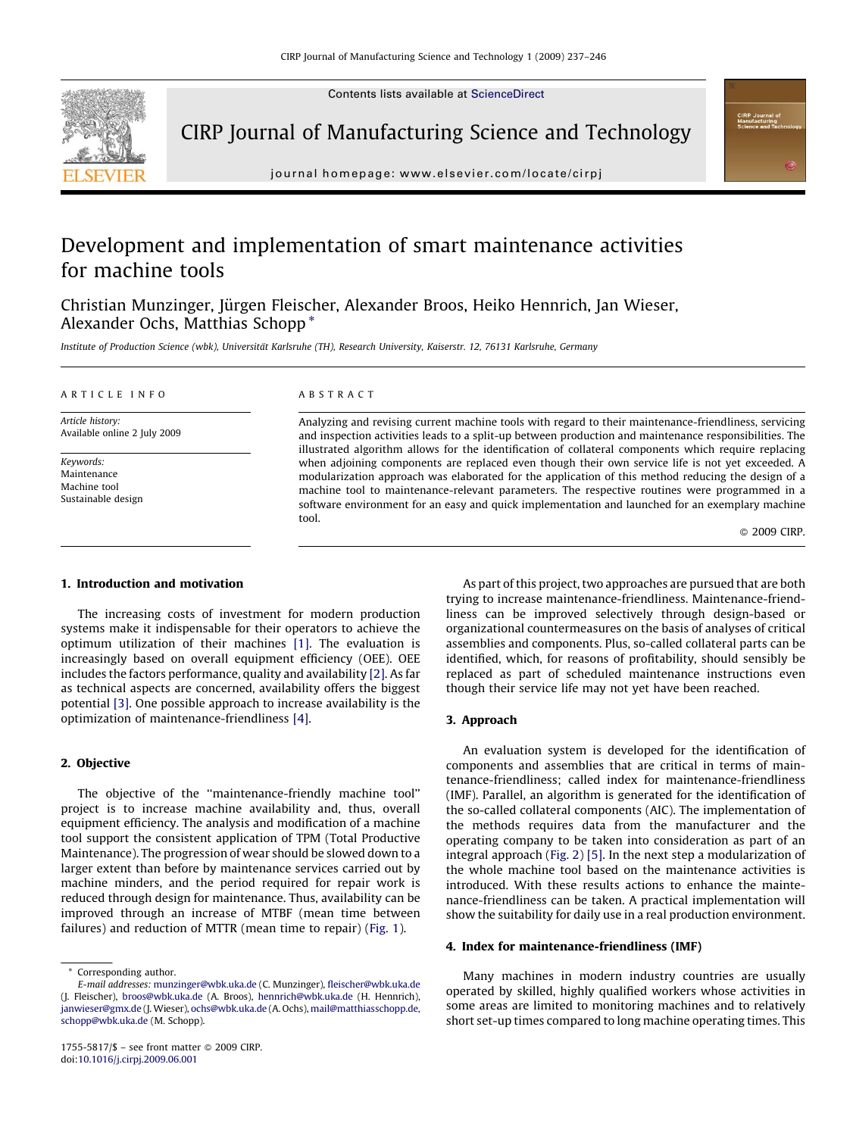Contents lists available at [ScienceDirect](http://www.sciencedirect.com/science/journal/17555817)



CIRP Journal of Manufacturing Science and Technology

journal homepage: www.elsevier.com/locate/cirpj

## Development and implementation of smart maintenance activities for machine tools

Christian Munzinger, Jürgen Fleischer, Alexander Broos, Heiko Hennrich, Jan Wieser, Alexander Ochs, Matthias Schopp \*

Institute of Production Science (wbk), Universität Karlsruhe (TH), Research University, Kaiserstr. 12, 76131 Karlsruhe, Germany

#### ARTICLE INFO

Article history: Available online 2 July 2009

Keywords: Maintenance Machine tool Sustainable design

### ABSTRACT

Analyzing and revising current machine tools with regard to their maintenance-friendliness, servicing and inspection activities leads to a split-up between production and maintenance responsibilities. The illustrated algorithm allows for the identification of collateral components which require replacing when adjoining components are replaced even though their own service life is not yet exceeded. A modularization approach was elaborated for the application of this method reducing the design of a machine tool to maintenance-relevant parameters. The respective routines were programmed in a software environment for an easy and quick implementation and launched for an exemplary machine tool.

© 2009 CIRP.

## 1. Introduction and motivation

The increasing costs of investment for modern production systems make it indispensable for their operators to achieve the optimum utilization of their machines [\[1\].](#page--1-0) The evaluation is increasingly based on overall equipment efficiency (OEE). OEE includes the factors performance, quality and availability [\[2\].](#page--1-0) As far as technical aspects are concerned, availability offers the biggest potential [\[3\]](#page--1-0). One possible approach to increase availability is the optimization of maintenance-friendliness [\[4\].](#page--1-0)

## 2. Objective

The objective of the ''maintenance-friendly machine tool'' project is to increase machine availability and, thus, overall equipment efficiency. The analysis and modification of a machine tool support the consistent application of TPM (Total Productive Maintenance). The progression of wear should be slowed down to a larger extent than before by maintenance services carried out by machine minders, and the period required for repair work is reduced through design for maintenance. Thus, availability can be improved through an increase of MTBF (mean time between failures) and reduction of MTTR (mean time to repair) [\(Fig. 1\)](#page-1-0).

As part of this project, two approaches are pursued that are both trying to increase maintenance-friendliness. Maintenance-friendliness can be improved selectively through design-based or organizational countermeasures on the basis of analyses of critical assemblies and components. Plus, so-called collateral parts can be identified, which, for reasons of profitability, should sensibly be replaced as part of scheduled maintenance instructions even though their service life may not yet have been reached.

## 3. Approach

An evaluation system is developed for the identification of components and assemblies that are critical in terms of maintenance-friendliness; called index for maintenance-friendliness (IMF). Parallel, an algorithm is generated for the identification of the so-called collateral components (AIC). The implementation of the methods requires data from the manufacturer and the operating company to be taken into consideration as part of an integral approach [\(Fig. 2\)](#page-1-0) [\[5\].](#page--1-0) In the next step a modularization of the whole machine tool based on the maintenance activities is introduced. With these results actions to enhance the maintenance-friendliness can be taken. A practical implementation will show the suitability for daily use in a real production environment.

#### 4. Index for maintenance-friendliness (IMF)

Many machines in modern industry countries are usually operated by skilled, highly qualified workers whose activities in some areas are limited to monitoring machines and to relatively short set-up times compared to long machine operating times. This

Corresponding author.

E-mail addresses: [munzinger@wbk.uka.de](mailto:munzinger@wbk.uka.de) (C. Munzinger), [fleischer@wbk.uka.de](mailto:fleischer@wbk.uka.de) (J. Fleischer), [broos@wbk.uka.de](mailto:broos@wbk.uka.de) (A. Broos), [hennrich@wbk.uka.de](mailto:hennrich@wbk.uka.de) (H. Hennrich), [janwieser@gmx.de](mailto:janwieser@gmx.de) (J. Wieser), [ochs@wbk.uka.de](mailto:ochs@wbk.uka.de) (A. Ochs), [mail@matthiasschopp.de](mailto:mail@matthiasschopp.de), [schopp@wbk.uka.de](mailto:schopp@wbk.uka.de) (M. Schopp).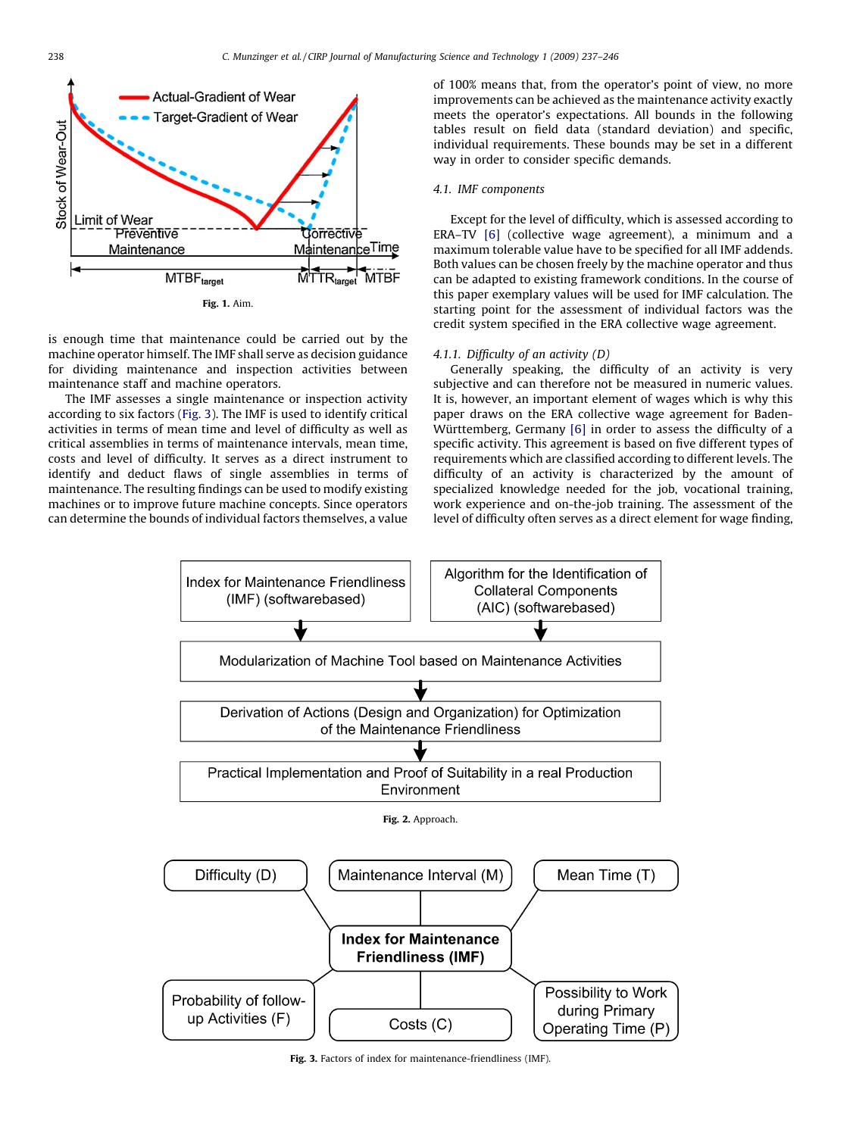<span id="page-1-0"></span>

is enough time that maintenance could be carried out by the machine operator himself. The IMF shall serve as decision guidance for dividing maintenance and inspection activities between maintenance staff and machine operators.

The IMF assesses a single maintenance or inspection activity according to six factors (Fig. 3). The IMF is used to identify critical activities in terms of mean time and level of difficulty as well as critical assemblies in terms of maintenance intervals, mean time, costs and level of difficulty. It serves as a direct instrument to identify and deduct flaws of single assemblies in terms of maintenance. The resulting findings can be used to modify existing machines or to improve future machine concepts. Since operators can determine the bounds of individual factors themselves, a value

of 100% means that, from the operator's point of view, no more improvements can be achieved as the maintenance activity exactly meets the operator's expectations. All bounds in the following tables result on field data (standard deviation) and specific, individual requirements. These bounds may be set in a different way in order to consider specific demands.

#### 4.1. IMF components

Except for the level of difficulty, which is assessed according to ERA–TV [\[6\]](#page--1-0) (collective wage agreement), a minimum and a maximum tolerable value have to be specified for all IMF addends. Both values can be chosen freely by the machine operator and thus can be adapted to existing framework conditions. In the course of this paper exemplary values will be used for IMF calculation. The starting point for the assessment of individual factors was the credit system specified in the ERA collective wage agreement.

#### 4.1.1. Difficulty of an activity (D)

Generally speaking, the difficulty of an activity is very subjective and can therefore not be measured in numeric values. It is, however, an important element of wages which is why this paper draws on the ERA collective wage agreement for Baden-Württemberg, Germany [\[6\]](#page--1-0) in order to assess the difficulty of a specific activity. This agreement is based on five different types of requirements which are classified according to different levels. The difficulty of an activity is characterized by the amount of specialized knowledge needed for the job, vocational training, work experience and on-the-job training. The assessment of the level of difficulty often serves as a direct element for wage finding,



Fig. 3. Factors of index for maintenance-friendliness (IMF).